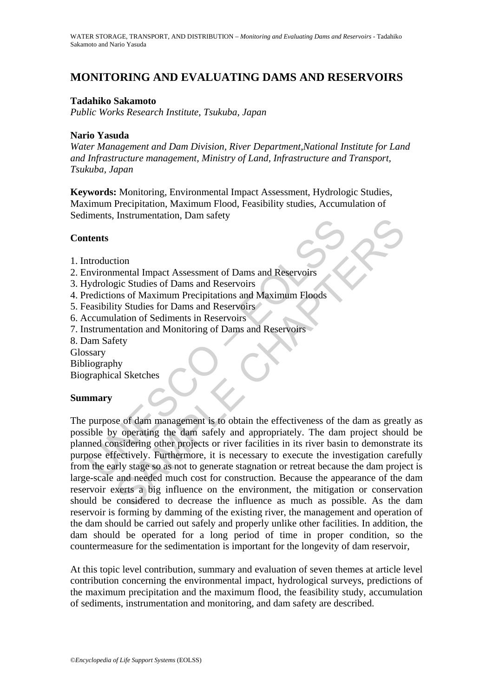# **MONITORING AND EVALUATING DAMS AND RESERVOIRS**

## **Tadahiko Sakamoto**

*Public Works Research Institute, Tsukuba, Japan* 

## **Nario Yasuda**

*Water Management and Dam Division, River Department,National Institute for Land and Infrastructure management, Ministry of Land, Infrastructure and Transport, Tsukuba, Japan* 

**Keywords:** Monitoring, Environmental Impact Assessment, Hydrologic Studies, Maximum Precipitation, Maximum Flood, Feasibility studies, Accumulation of Sediments, Instrumentation, Dam safety

### **Contents**

- 1. Introduction
- 2. Environmental Impact Assessment of Dams and Reservoirs
- 3. Hydrologic Studies of Dams and Reservoirs
- 4. Predictions of Maximum Precipitations and Maximum Floods
- 5. Feasibility Studies for Dams and Reservoirs
- 6. Accumulation of Sediments in Reservoirs
- 7. Instrumentation and Monitoring of Dams and Reservoirs
- 8. Dam Safety
- Glossary
- Bibliography

Biographical Sketches

## **Summary**

The Mathematical Impact Assessment of Dams and Reservoirs<br>
netents<br>
netents<br>
invironmental Impact Assessment of Dams and Reservoirs<br>
(ydrologic Studies of Dams and Reservoirs<br>
easibility Studies for Dams and Reservoirs<br>
ac The<br>
instrumental Impact Assessment of Dams and Reservoirs<br>
gic Studies of Dams and Reservoirs<br>
sty Studies of Dams and Reservoirs<br>
ty Studies for Dams and Reservoirs<br>
lation of Sediments in Reservoirs<br>
and Monitoring of D The purpose of dam management is to obtain the effectiveness of the dam as greatly as possible by operating the dam safely and appropriately. The dam project should be planned considering other projects or river facilities in its river basin to demonstrate its purpose effectively. Furthermore, it is necessary to execute the investigation carefully from the early stage so as not to generate stagnation or retreat because the dam project is large-scale and needed much cost for construction. Because the appearance of the dam reservoir exerts a big influence on the environment, the mitigation or conservation should be considered to decrease the influence as much as possible. As the dam reservoir is forming by damming of the existing river, the management and operation of the dam should be carried out safely and properly unlike other facilities. In addition, the dam should be operated for a long period of time in proper condition, so the countermeasure for the sedimentation is important for the longevity of dam reservoir,

At this topic level contribution, summary and evaluation of seven themes at article level contribution concerning the environmental impact, hydrological surveys, predictions of the maximum precipitation and the maximum flood, the feasibility study, accumulation of sediments, instrumentation and monitoring, and dam safety are described.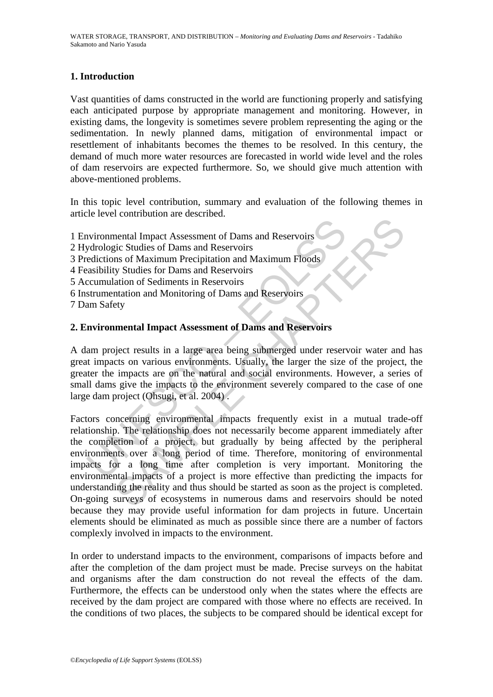# **1. Introduction**

Vast quantities of dams constructed in the world are functioning properly and satisfying each anticipated purpose by appropriate management and monitoring. However, in existing dams, the longevity is sometimes severe problem representing the aging or the sedimentation. In newly planned dams, mitigation of environmental impact or resettlement of inhabitants becomes the themes to be resolved. In this century, the demand of much more water resources are forecasted in world wide level and the roles of dam reservoirs are expected furthermore. So, we should give much attention with above-mentioned problems.

In this topic level contribution, summary and evaluation of the following themes in article level contribution are described.

- 1 Environmental Impact Assessment of Dams and Reservoirs
- 2 Hydrologic Studies of Dams and Reservoirs
- 3 Predictions of Maximum Precipitation and Maximum Floods
- 4 Feasibility Studies for Dams and Reservoirs
- 5 Accumulation of Sediments in Reservoirs
- 6 Instrumentation and Monitoring of Dams and Reservoirs
- 7 Dam Safety

### **2. Environmental Impact Assessment of Dams and Reservoirs**

A dam project results in a large area being submerged under reservoir water and has great impacts on various environments. Usually, the larger the size of the project, the greater the impacts are on the natural and social environments. However, a series of small dams give the impacts to the environment severely compared to the case of one large dam project (Ohsugi, et al. 2004) .

nyironmental Impact Assessment of Dams and Reservoirs<br>
ydrologic Studies of Dams and Reservoirs<br>
edictions of Maximum Precipitation and Maximum Floods<br>
assibility Studies for Dams and Reservoirs<br>
sccumulation of Sediments **Example 12 Example 12 Example 12 Example 12 Example 12 Example 12 Example 26 O Rans and Reservoirs<br>
ins of Maximum Precipitation and Maximum Floods<br>
y Studies for Dams and Reservoirs<br>
attion of Sediments in Reservoirs<br>
at** Factors concerning environmental impacts frequently exist in a mutual trade-off relationship. The relationship does not necessarily become apparent immediately after the completion of a project, but gradually by being affected by the peripheral environments over a long period of time. Therefore, monitoring of environmental impacts for a long time after completion is very important. Monitoring the environmental impacts of a project is more effective than predicting the impacts for understanding the reality and thus should be started as soon as the project is completed. On-going surveys of ecosystems in numerous dams and reservoirs should be noted because they may provide useful information for dam projects in future. Uncertain elements should be eliminated as much as possible since there are a number of factors complexly involved in impacts to the environment.

In order to understand impacts to the environment, comparisons of impacts before and after the completion of the dam project must be made. Precise surveys on the habitat and organisms after the dam construction do not reveal the effects of the dam. Furthermore, the effects can be understood only when the states where the effects are received by the dam project are compared with those where no effects are received. In the conditions of two places, the subjects to be compared should be identical except for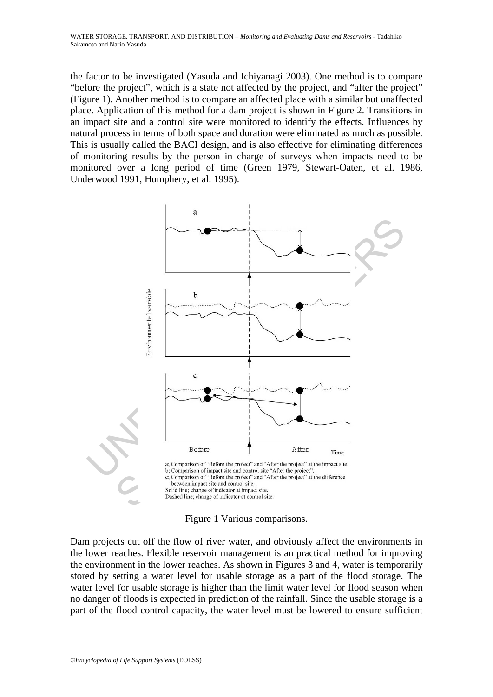the factor to be investigated (Yasuda and Ichiyanagi 2003). One method is to compare "before the project", which is a state not affected by the project, and "after the project" (Figure 1). Another method is to compare an affected place with a similar but unaffected place. Application of this method for a dam project is shown in Figure 2. Transitions in an impact site and a control site were monitored to identify the effects. Influences by natural process in terms of both space and duration were eliminated as much as possible. This is usually called the BACI design, and is also effective for eliminating differences of monitoring results by the person in charge of surveys when impacts need to be monitored over a long period of time (Green 1979, Stewart-Oaten, et al. 1986, Underwood 1991, Humphery, et al. 1995).



Figure 1 Various comparisons.

Dam projects cut off the flow of river water, and obviously affect the environments in the lower reaches. Flexible reservoir management is an practical method for improving the environment in the lower reaches. As shown in Figures 3 and 4, water is temporarily stored by setting a water level for usable storage as a part of the flood storage. The water level for usable storage is higher than the limit water level for flood season when no danger of floods is expected in prediction of the rainfall. Since the usable storage is a part of the flood control capacity, the water level must be lowered to ensure sufficient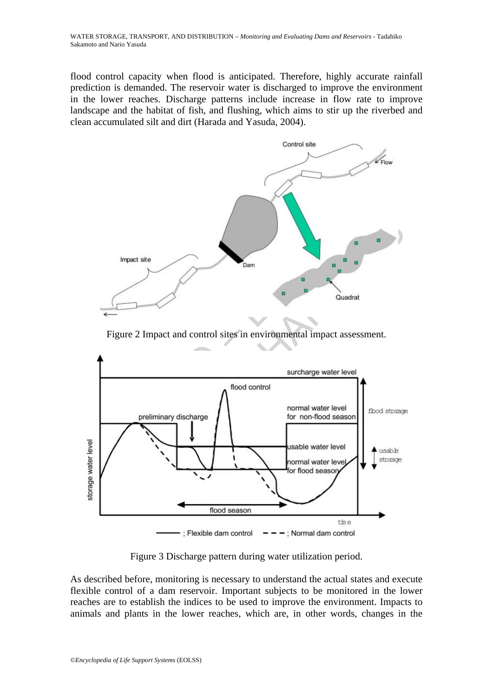flood control capacity when flood is anticipated. Therefore, highly accurate rainfall prediction is demanded. The reservoir water is discharged to improve the environment in the lower reaches. Discharge patterns include increase in flow rate to improve landscape and the habitat of fish, and flushing, which aims to stir up the riverbed and clean accumulated silt and dirt (Harada and Yasuda, 2004).



Figure 2 Impact and control sites in environmental impact assessment.



Figure 3 Discharge pattern during water utilization period.

As described before, monitoring is necessary to understand the actual states and execute flexible control of a dam reservoir. Important subjects to be monitored in the lower reaches are to establish the indices to be used to improve the environment. Impacts to animals and plants in the lower reaches, which are, in other words, changes in the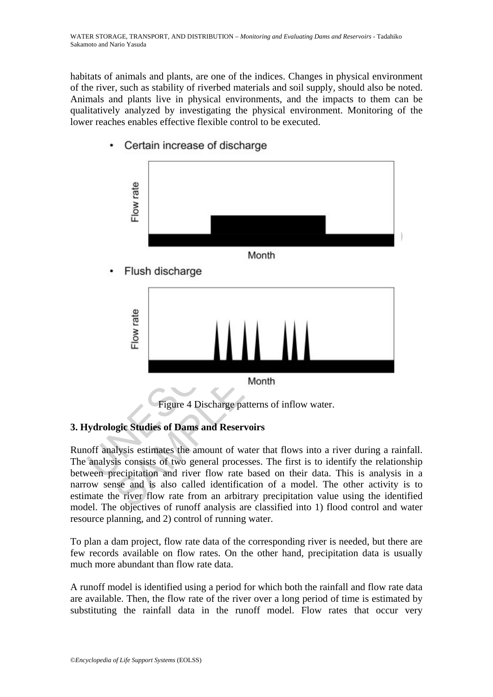habitats of animals and plants, are one of the indices. Changes in physical environment of the river, such as stability of riverbed materials and soil supply, should also be noted. Animals and plants live in physical environments, and the impacts to them can be qualitatively analyzed by investigating the physical environment. Monitoring of the lower reaches enables effective flexible control to be executed.



# Certain increase of discharge

# **3. Hydrologic Studies of Dams and Reservoirs**

Runoff analysis estimates the amount of water that flows into a river during a rainfall. The analysis consists of two general processes. The first is to identify the relationship between precipitation and river flow rate based on their data. This is analysis in a narrow sense and is also called identification of a model. The other activity is to estimate the river flow rate from an arbitrary precipitation value using the identified model. The objectives of runoff analysis are classified into 1) flood control and water resource planning, and 2) control of running water.

To plan a dam project, flow rate data of the corresponding river is needed, but there are few records available on flow rates. On the other hand, precipitation data is usually much more abundant than flow rate data.

A runoff model is identified using a period for which both the rainfall and flow rate data are available. Then, the flow rate of the river over a long period of time is estimated by substituting the rainfall data in the runoff model. Flow rates that occur very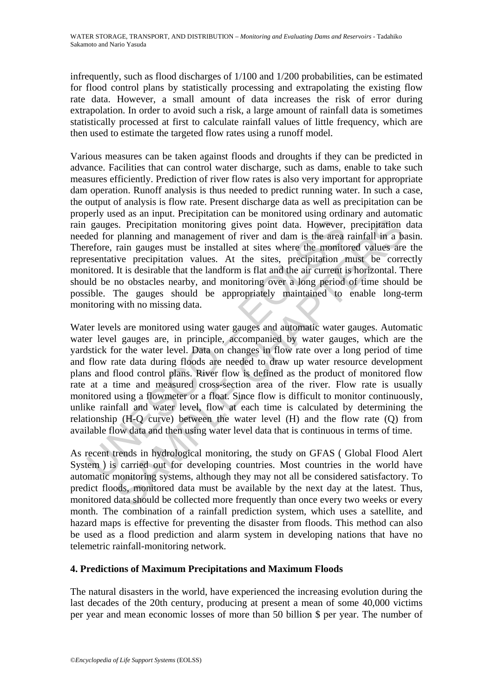infrequently, such as flood discharges of 1/100 and 1/200 probabilities, can be estimated for flood control plans by statistically processing and extrapolating the existing flow rate data. However, a small amount of data increases the risk of error during extrapolation. In order to avoid such a risk, a large amount of rainfall data is sometimes statistically processed at first to calculate rainfall values of little frequency, which are then used to estimate the targeted flow rates using a runoff model.

Various measures can be taken against floods and droughts if they can be predicted in advance. Facilities that can control water discharge, such as dams, enable to take such measures efficiently. Prediction of river flow rates is also very important for appropriate dam operation. Runoff analysis is thus needed to predict running water. In such a case, the output of analysis is flow rate. Present discharge data as well as precipitation can be properly used as an input. Precipitation can be monitored using ordinary and automatic rain gauges. Precipitation monitoring gives point data. However, precipitation data needed for planning and management of river and dam is the area rainfall in a basin. Therefore, rain gauges must be installed at sites where the monitored values are the representative precipitation values. At the sites, precipitation must be correctly monitored. It is desirable that the landform is flat and the air current is horizontal. There should be no obstacles nearby, and monitoring over a long period of time should be possible. The gauges should be appropriately maintained to enable long-term monitoring with no missing data.

gauges. Precipitation monitoring gives point data. However,<br>led for planning and management of river and dam is the area<br>refore, rain gauges must be installed at sites where the monito<br>esentative precipitation values. At t s. Precipitation monitoring gives point data. However, precipitation planning and management of river and dam is the area rainfall in a bias when the installed at sites where the monitored values are rainfall in a bias ra Water levels are monitored using water gauges and automatic water gauges. Automatic water level gauges are, in principle, accompanied by water gauges, which are the yardstick for the water level. Data on changes in flow rate over a long period of time and flow rate data during floods are needed to draw up water resource development plans and flood control plans. River flow is defined as the product of monitored flow rate at a time and measured cross-section area of the river. Flow rate is usually monitored using a flowmeter or a float. Since flow is difficult to monitor continuously, unlike rainfall and water level, flow at each time is calculated by determining the relationship (H-Q curve) between the water level (H) and the flow rate (Q) from available flow data and then using water level data that is continuous in terms of time.

As recent trends in hydrological monitoring, the study on GFAS(Global Flood Alert System) is carried out for developing countries. Most countries in the world have automatic monitoring systems, although they may not all be considered satisfactory. To predict floods, monitored data must be available by the next day at the latest. Thus, monitored data should be collected more frequently than once every two weeks or every month. The combination of a rainfall prediction system, which uses a satellite, and hazard maps is effective for preventing the disaster from floods. This method can also be used as a flood prediction and alarm system in developing nations that have no telemetric rainfall-monitoring network.

# **4. Predictions of Maximum Precipitations and Maximum Floods**

The natural disasters in the world, have experienced the increasing evolution during the last decades of the 20th century, producing at present a mean of some 40,000 victims per year and mean economic losses of more than 50 billion \$ per year. The number of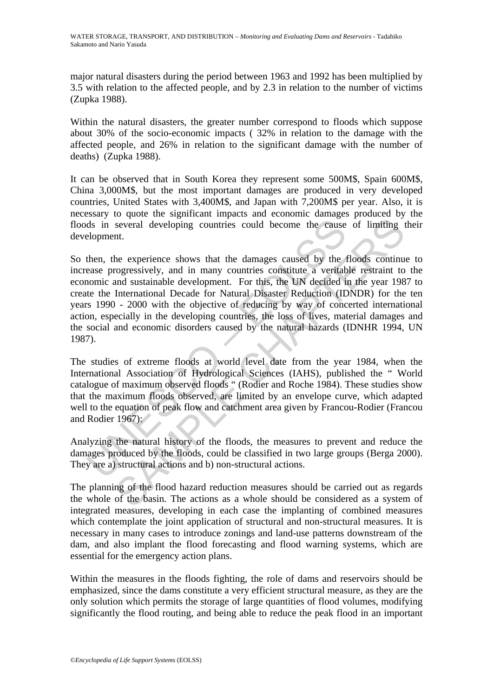major natural disasters during the period between 1963 and 1992 has been multiplied by 3.5 with relation to the affected people, and by 2.3 in relation to the number of victims (Zupka 1988).

Within the natural disasters, the greater number correspond to floods which suppose about 30% of the socio-economic impacts ( 32% in relation to the damage with the affected people, and 26% in relation to the significant damage with the number of deaths) (Zupka 1988).

It can be observed that in South Korea they represent some 500M\$, Spain 600M\$, China 3,000M\$, but the most important damages are produced in very developed countries, United States with 3,400M\$, and Japan with 7,200M\$ per year. Also, it is necessary to quote the significant impacts and economic damages produced by the floods in several developing countries could become the cause of limiting their development.

ds in several developing countries could become the cause<br>elopment.<br>then, the experience shows that the damages caused by the lasse progressively, and in many countries constitute a veritad<br>nomic and sustainable developmen several developing countries could become the cause of limiting t<br>several developing countries could become the cause of limiting t<br>nt.<br>he experience shows that the damages caused by the floods continu<br>orgressively, and in So then, the experience shows that the damages caused by the floods continue to increase progressively, and in many countries constitute a veritable restraint to the economic and sustainable development. For this, the UN decided in the year 1987 to create the International Decade for Natural Disaster Reduction (IDNDR) for the ten years 1990 - 2000 with the objective of reducing by way of concerted international action, especially in the developing countries, the loss of lives, material damages and the social and economic disorders caused by the natural hazards (IDNHR 1994, UN 1987).

The studies of extreme floods at world level date from the year 1984, when the International Association of Hydrological Sciences (IAHS), published the " World catalogue of maximum observed floods " (Rodier and Roche 1984). These studies show that the maximum floods observed, are limited by an envelope curve, which adapted well to the equation of peak flow and catchment area given by Francou-Rodier (Francou and Rodier 1967):

Analyzing the natural history of the floods, the measures to prevent and reduce the damages produced by the floods, could be classified in two large groups (Berga 2000). They are a) structural actions and b) non-structural actions.

The planning of the flood hazard reduction measures should be carried out as regards the whole of the basin. The actions as a whole should be considered as a system of integrated measures, developing in each case the implanting of combined measures which contemplate the joint application of structural and non-structural measures. It is necessary in many cases to introduce zonings and land-use patterns downstream of the dam, and also implant the flood forecasting and flood warning systems, which are essential for the emergency action plans.

Within the measures in the floods fighting, the role of dams and reservoirs should be emphasized, since the dams constitute a very efficient structural measure, as they are the only solution which permits the storage of large quantities of flood volumes, modifying significantly the flood routing, and being able to reduce the peak flood in an important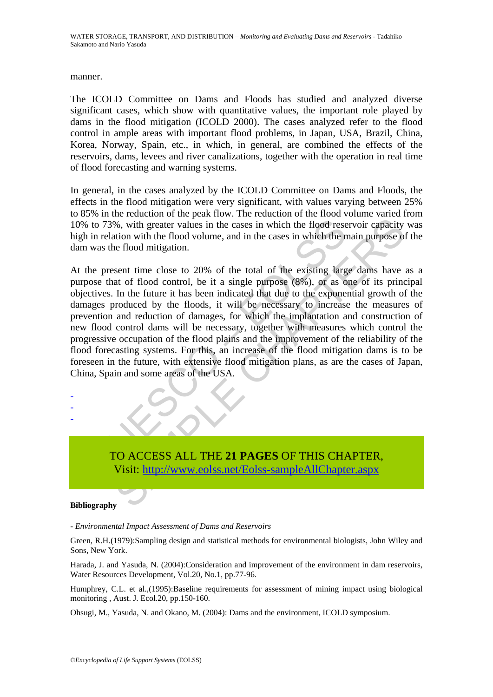manner.

The ICOLD Committee on Dams and Floods has studied and analyzed diverse significant cases, which show with quantitative values, the important role played by dams in the flood mitigation (ICOLD 2000). The cases analyzed refer to the flood control in ample areas with important flood problems, in Japan, USA, Brazil, China, Korea, Norway, Spain, etc., in which, in general, are combined the effects of the reservoirs, dams, levees and river canalizations, together with the operation in real time of flood forecasting and warning systems.

In general, in the cases analyzed by the ICOLD Committee on Dams and Floods, the effects in the flood mitigation were very significant, with values varying between 25% to 85% in the reduction of the peak flow. The reduction of the flood volume varied from 10% to 73%, with greater values in the cases in which the flood reservoir capacity was high in relation with the flood volume, and in the cases in which the main purpose of the dam was the flood mitigation.

to 73%, with greater values in the cases in which the flood reserved in relation with the flood volume, and in the cases in which the number was the flood mitigation.<br>The present time close to 20% of the total of the exist %, with greater values in the cases in which the flood reservoir capacity the with the flood volume, and in the cases in which the flood reservoir capacity the flood mitigation.<br>Sent time close to 20% of the total of the e At the present time close to 20% of the total of the existing large dams have as a purpose that of flood control, be it a single purpose (8%), or as one of its principal objectives. In the future it has been indicated that due to the exponential growth of the damages produced by the floods, it will be necessary to increase the measures of prevention and reduction of damages, for which the implantation and construction of new flood control dams will be necessary, together with measures which control the progressive occupation of the flood plains and the improvement of the reliability of the flood forecasting systems. For this, an increase of the flood mitigation dams is to be foreseen in the future, with extensive flood mitigation plans, as are the cases of Japan, China, Spain and some areas of the USA.



#### **Bibliography**

- - -

*- Environmental Impact Assessment of Dams and Reservoirs* 

Green, R.H.(1979):Sampling design and statistical methods for environmental biologists, John Wiley and Sons, New York.

Harada, J. and Yasuda, N. (2004):Consideration and improvement of the environment in dam reservoirs, Water Resources Development, Vol.20, No.1, pp.77-96.

Humphrey, C.L. et al.,(1995):Baseline requirements for assessment of mining impact using biological monitoring , Aust. J. Ecol.20, pp.150-160.

Ohsugi, M., Yasuda, N. and Okano, M. (2004): Dams and the environment, ICOLD symposium.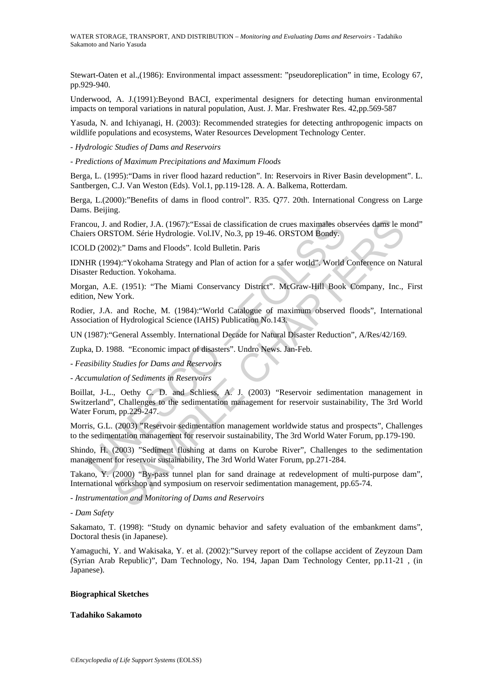Stewart-Oaten et al.,(1986): Environmental impact assessment: "pseudoreplication" in time, Ecology 67, pp.929-940.

Underwood, A. J.(1991):Beyond BACI, experimental designers for detecting human environmental impacts on temporal variations in natural population, Aust. J. Mar. Freshwater Res. 42,pp.569-587

Yasuda, N. and Ichiyanagi, H. (2003): Recommended strategies for detecting anthropogenic impacts on wildlife populations and ecosystems, Water Resources Development Technology Center.

*- Hydrologic Studies of Dams and Reservoirs* 

*- Predictions of Maximum Precipitations and Maximum Floods* 

Berga, L. (1995):"Dams in river flood hazard reduction". In: Reservoirs in River Basin development". L. Santbergen, C.J. Van Weston (Eds). Vol.1, pp.119-128. A. A. Balkema, Rotterdam.

Berga, L.(2000):"Benefits of dams in flood control". R35. Q77. 20th. International Congress on Large Dams. Beijing.

Francou, J. and Rodier, J.A. (1967):"Essai de classification de crues maximales observées dams le mond" Chaiers ORSTOM. Série Hydrologie. Vol.IV, No.3, pp 19-46. ORSTOM Bondy.

ICOLD (2002):" Dams and Floods". Icold Bulletin. Paris

IDNHR (1994):"Yokohama Strategy and Plan of action for a safer world". World Conference on Natural Disaster Reduction. Yokohama.

Morgan, A.E. (1951): "The Miami Conservancy District". McGraw-Hill Book Company, Inc., First edition, New York.

Rodier, J.A. and Roche, M. (1984):"World Catalogue of maximum observed floods", International Association of Hydrological Science (IAHS) Publication No.143.

UN (1987):"General Assembly. International Decade for Natural Disaster Reduction", A/Res/42/169.

Zupka, D. 1988. "Economic impact of disasters". Undro News. Jan-Feb.

*- Feasibility Studies for Dams and Reservoirs* 

*- Accumulation of Sediments in Reservoirs* 

cou, J. and Rodier, J.A. (1967): "Essai de classification de crues maximales obsers ORSTOM. Série Hydrologie. Vol.IV, No.3, pp 19-46. ORSTOM Bondy.<br>LD (2002):" Dams and Floods". Icold Bulletin. Paris<br>HR (1994): "Yokohama S nd Rodier, J.A. (1967): "Essai de classification de crues maximales observées dams le m<br>
TOM. Série Hydrologie. Vol.IV, No.3, pp 19-46. ORSTOM Bondy.<br>
2): "Dams and Floods". Icold Bulletin. Paris<br>
4): "Vokohama. Strategy a Boillat, J-L., Oethy C. D. and Schliess, A. J. (2003) "Reservoir sedimentation management in Switzerland", Challenges to the sedimentation management for reservoir sustainability, The 3rd World Water Forum, pp.229-247.

Morris, G.L. (2003) "Reservoir sedimentation management worldwide status and prospects", Challenges to the sedimentation management for reservoir sustainability, The 3rd World Water Forum, pp.179-190.

Shindo, H. (2003) "Sediment flushing at dams on Kurobe River", Challenges to the sedimentation management for reservoir sustainability, The 3rd World Water Forum, pp.271-284.

Takano, Y. (2000) "By-pass tunnel plan for sand drainage at redevelopment of multi-purpose dam", International workshop and symposium on reservoir sedimentation management, pp.65-74.

*- Instrumentation and Monitoring of Dams and Reservoirs* 

*- Dam Safety* 

Sakamato, T. (1998): "Study on dynamic behavior and safety evaluation of the embankment dams", Doctoral thesis (in Japanese).

Yamaguchi, Y. and Wakisaka, Y. et al. (2002):"Survey report of the collapse accident of Zeyzoun Dam (Syrian Arab Republic)", Dam Technology, No. 194, Japan Dam Technology Center, pp.11-21 , (in Japanese).

#### **Biographical Sketches**

#### **Tadahiko Sakamoto**